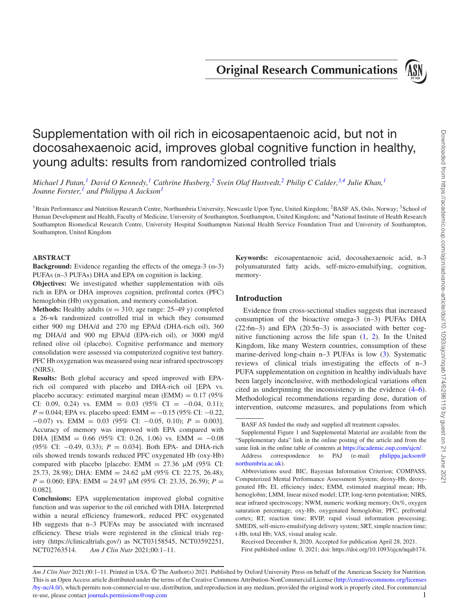**Original Research Communications**

<span id="page-0-2"></span>

# Supplementation with oil rich in eicosapentaenoic acid, but not in docosahexaenoic acid, improves global cognitive function in healthy, young adults: results from randomized controlled trials

*Michael J Patan,[1](#page-0-0) David O Kennedy[,1](#page-0-0) Cathrine Husberg,[2](#page-0-1) Svein Olaf Hustvedt,[2](#page-0-1) Philip C Calder[,3](#page-0-2)[,4](#page-0-3) Julie Khan,[1](#page-0-0) Joanne Forster[,1](#page-0-0) and Philippa A Jackso[n1](#page-0-0)*

<span id="page-0-0"></span><sup>1</sup>Brain Performance and Nutrition Research Centre, Northumbria University, Newcastle Upon Tyne, United Kingdom; <sup>2</sup>BASF AS, Oslo, Norway; <sup>3</sup>School of Human Development and Health, Faculty of Medicine, University of Southampton, Southampton, United Kingdom; and <sup>4</sup>National Institute of Health Research Southampton Biomedical Research Centre, University Hospital Southampton National Health Service Foundation Trust and University of Southampton, Southampton, United Kingdom

## **ABSTRACT**

**Background:** Evidence regarding the effects of the omega-3 ( $\omega$ -3) PUFAs (n–3 PUFAs) DHA and EPA on cognition is lacking.

**Objectives:** We investigated whether supplementation with oils rich in EPA or DHA improves cognition, prefrontal cortex (PFC) hemoglobin (Hb) oxygenation, and memory consolidation.

**Methods:** Healthy adults  $(n = 310;$  age range: 25–49 y) completed a 26-wk randomized controlled trial in which they consumed either 900 mg DHA/d and 270 mg EPA/d (DHA-rich oil), 360 mg DHA/d and 900 mg EPA/d (EPA-rich oil), or 3000 mg/d refined olive oil (placebo). Cognitive performance and memory consolidation were assessed via computerized cognitive test battery. PFC Hb oxygenation was measured using near infrared spectroscopy (NIRS).

**Results:** Both global accuracy and speed improved with EPArich oil compared with placebo and DHA-rich oil [EPA vs. placebo accuracy: estimated marginal mean (EMM) =  $0.17$  (95%) CI: 0.09, 0.24) vs. EMM =  $0.03$  (95% CI =  $-0.04$ , 0.11); *P* = 0.044; EPA vs. placebo speed: EMM = −0.15 (95% CI: −0.22, −0.07) vs. EMM = 0.03 (95% CI: −0.05, 0.10); *P* = 0.003]. Accuracy of memory was improved with EPA compared with DHA [EMM =  $0.66$  (95% CI: 0.26, 1.06) vs. EMM =  $-0.08$ (95% CI: −0.49, 0.33); *P* = 0.034]. Both EPA- and DHA-rich oils showed trends towards reduced PFC oxygenated Hb (oxy-Hb) compared with placebo [placebo: EMM = 27.36 μM (95% CI: 25.73, 28.98); DHA: EMM = 24.62 μM (95% CI: 22.75, 26.48); *P* = 0.060; EPA: EMM = 24.97 μM (95% CI: 23.35, 26.59); *P* = 0.082].

**Conclusions:** EPA supplementation improved global cognitive function and was superior to the oil enriched with DHA. Interpreted within a neural efficiency framework, reduced PFC oxygenated Hb suggests that n–3 PUFAs may be associated with increased efficiency. These trials were registered in the clinical trials registry (https://clinicaltrials.gov/) as NCT03158545, NCT03592251, NCT02763514. *Am J Clin Nutr* 2021;00:1–11.

<span id="page-0-3"></span><span id="page-0-1"></span>**Keywords:** eicosapentaenoic acid, docosahexaenoic acid, n-3 polyunsaturated fatty acids, self-micro-emulsifying, cognition, memory-

# **Introduction**

Evidence from cross-sectional studies suggests that increased consumption of the bioactive omega-3 (n–3) PUFAs DHA (22:6n–3) and EPA (20:5n*–*3) is associated with better cognitive functioning across the life span [\(1,](#page-9-0) [2\)](#page-9-1). In the United Kingdom, like many Western countries, consumption of these marine-derived long-chain n–3 PUFAs is low [\(3\)](#page-9-2). Systematic reviews of clinical trials investigating the effects of n–3 PUFA supplementation on cognition in healthy individuals have been largely inconclusive, with methodological variations often cited as underpinning the inconsistency in the evidence [\(4–6\)](#page-9-3). Methodological recommendations regarding dose, duration of intervention, outcome measures, and populations from which

Received December 8, 2020. Accepted for publication April 28, 2021.

First published online 0, 2021; doi: https://doi.org/10.1093/ajcn/nqab174.

BASF AS funded the study and supplied all treatment capsules.

Supplemental Figure 1 and Supplemental Material are available from the "Supplementary data" link in the online posting of the article and from the same link in the online table of contents at [https://academic.oup.com/ajcn/.](https://academic.oup.com/ajcn/) [Address correspondence to PAJ \(e-mail:](mailto:philippa.jackson@northumbria.ac.uk) philippa.jackson@ northumbria.ac.uk).

Abbreviations used: BIC, Bayesian Information Criterion; COMPASS, Computerized Mental Performance Assessment System; deoxy-Hb, deoxygenated Hb; EI, efficiency index; EMM, estimated marginal mean; Hb, hemoglobin; LMM, linear mixed model; LTP, long-term potentiation; NIRS, near infrared spectroscopy; NWM, numeric working memory; Ox%, oxygen saturation percentage; oxy-Hb, oxygenated hemoglobin; PFC, prefrontal cortex; RT, reaction time; RVIP, rapid visual information processing; SMEDS, self-micro-emulsifying delivery system; SRT, simple reaction time; t-Hb, total Hb; VAS, visual analog scale.

*Am J Clin Nutr* 2021;00:1–11. Printed in USA. © The Author(s) 2021. Published by Oxford University Press on behalf of the American Society for Nutrition. This is an Open Access article distributed under the terms of the Creative Commons Attribution-NonCommercial License (http://creativecommons.org/licenses [/by-nc/4.0/\), which permits non-commercial re-use, distribution, and reproduction in any medium, provided the original work is properly cited. For commercial](http://creativecommons.org/licenses/by-nc/4.0/) re-use, please contact [journals.permissions@oup.com](mailto:journals.permissions@oup.com) 1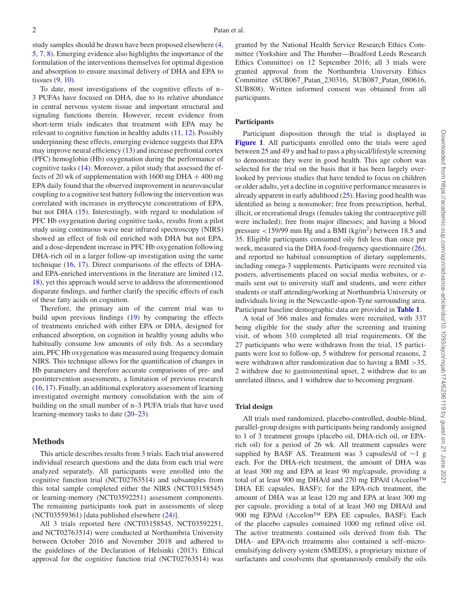study samples should be drawn have been proposed elsewhere [\(4,](#page-9-3) [5,](#page-9-4) [7,](#page-9-5) [8\)](#page-9-6). Emerging evidence also highlights the importance of the formulation of the interventions themselves for optimal digestion and absorption to ensure maximal delivery of DHA and EPA to tissues [\(9,](#page-9-7) [10\)](#page-9-8).

To date, most investigations of the cognitive effects of n– 3 PUFAs have focused on DHA, due to its relative abundance in central nervous system tissue and important structural and signaling functions therein. However, recent evidence from short-term trials indicates that treatment with EPA may be relevant to cognitive function in healthy adults [\(11,](#page-9-9) [12\)](#page-9-10). Possibly underpinning these effects, emerging evidence suggests that EPA may improve neural efficiency [\(13\)](#page-9-11) and increase prefrontal cortex (PFC) hemoglobin (Hb) oxygenation during the performance of cognitive tasks [\(14\)](#page-9-12). Moreover, a pilot study that assessed the effects of 20 wk of supplementation with  $1600$  mg DHA  $+ 400$  mg EPA daily found that the observed improvement in neurovascular coupling to a cognitive test battery following the intervention was correlated with increases in erythrocyte concentrations of EPA, but not DHA [\(15\)](#page-9-13). Interestingly, with regard to modulation of PFC Hb oxygenation during cognitive tasks, results from a pilot study using continuous wave near infrared spectroscopy (NIRS) showed an effect of fish oil enriched with DHA but not EPA, and a dose-dependent increase in PFC Hb oxygenation following DHA-rich oil in a larger follow-up investigation using the same technique [\(16,](#page-9-14) [17\)](#page-9-15). Direct comparisons of the effects of DHAand EPA-enriched interventions in the literature are limited [\(12,](#page-9-10) [18\)](#page-9-16), yet this approach would serve to address the aforementioned disparate findings, and further clarify the specific effects of each of these fatty acids on cognition.

Therefore, the primary aim of the current trial was to build upon previous findings [\(19\)](#page-9-17) by comparing the effects of treatments enriched with either EPA or DHA, designed for enhanced absorption, on cognition in healthy young adults who habitually consume low amounts of oily fish. As a secondary aim, PFC Hb oxygenation was measured using frequency domain NIRS. This technique allows for the quantification of changes in Hb parameters and therefore accurate comparisons of pre- and postintervention assessments, a limitation of previous research [\(16,](#page-9-14) [17\)](#page-9-15). Finally, an additional exploratory assessment of learning investigated overnight memory consolidation with the aim of building on the small number of n–3 PUFA trials that have used learning-memory tasks to date [\(20–23\)](#page-9-18).

## **Methods**

This article describes results from 3 trials. Each trial answered individual research questions and the data from each trial were analyzed separately. All participants were enrolled into the cognitive function trial (NCT02763514) and subsamples from this total sample completed either the NIRS (NCT03158545) or learning-memory (NCT03592251) assessment components. The remaining participants took part in assessments of sleep (NCT03559361) [data published elsewhere [\(24\)](#page-9-19)].

All 3 trials reported here (NCT03158545, NCT03592251, and NCT02763514) were conducted at Northumbria University between October 2016 and November 2018 and adhered to the guidelines of the Declaration of Helsinki (2013). Ethical approval for the cognitive function trial (NCT02763514) was granted by the National Health Service Research Ethics Committee (Yorkshire and The Humber—Bradford Leeds Research Ethics Committee) on 12 September 2016; all 3 trials were granted approval from the Northumbria University Ethics Committee (SUB067\_Patan\_230316, SUB087\_Patan\_080616, SUB808). Written informed consent was obtained from all participants.

#### **Participants**

Participant disposition through the trial is displayed in **[Figure 1](#page-2-0)**. All participants enrolled onto the trials were aged between 25 and 49 y and had to pass a physical/lifestyle screening to demonstrate they were in good health. This age cohort was selected for the trial on the basis that it has been largely overlooked by previous studies that have tended to focus on children or older adults, yet a decline in cognitive performance measures is already apparent in early adulthood  $(25)$ . Having good health was identified as being a nonsmoker; free from prescription, herbal, illicit, or recreational drugs (females taking the contraceptive pill were included); free from major illnesses; and having a blood pressure  $\langle 159/99 \rangle$  mm Hg and a BMI (kg/m<sup>2</sup>) between 18.5 and 35. Eligible participants consumed oily fish less than once per week, measured via the DHA food-frequency questionnaire  $(26)$ , and reported no habitual consumption of dietary supplements, including omega-3 supplements. Participants were recruited via posters, advertisements placed on social media websites, or emails sent out to university staff and students, and were either students or staff attending/working at Northumbria University or individuals living in the Newcastle-upon-Tyne surrounding area. Participant baseline demographic data are provided in **[Table 1](#page-3-0)**.

A total of 366 males and females were recruited, with 337 being eligible for the study after the screening and training visit, of whom 310 completed all trial requirements. Of the 27 participants who were withdrawn from the trial, 15 participants were lost to follow-up, 5 withdrew for personal reasons, 2 were withdrawn after randomization due to having a BMI >35, 2 withdrew due to gastrointestinal upset, 2 withdrew due to an unrelated illness, and 1 withdrew due to becoming pregnant.

#### **Trial design**

All trials used randomized, placebo-controlled, double-blind, parallel-group designs with participants being randomly assigned to 1 of 3 treatment groups (placebo oil, DHA-rich oil, or EPArich oil) for a period of 26 wk. All treatment capsules were supplied by BASF AS. Treatment was 3 capsules/d of ∼1 g each. For the DHA-rich treatment, the amount of DHA was at least 300 mg and EPA at least 90 mg/capsule, providing a total of at least 900 mg DHA/d and 270 mg EPA/d (Accelon™ DHA EE capsules, BASF); for the EPA-rich treatment, the amount of DHA was at least 120 mg and EPA at least 300 mg per capsule, providing a total of at least 360 mg DHA/d and 900 mg EPA/d (Accelon™ EPA EE capsules, BASF). Each of the placebo capsules contained 1000 mg refined olive oil. The active treatments contained oils derived from fish. The DHA- and EPA-rich treatments also contained a self–microemulsifying delivery system (SMEDS), a proprietary mixture of surfactants and cosolvents that spontaneously emulsify the oils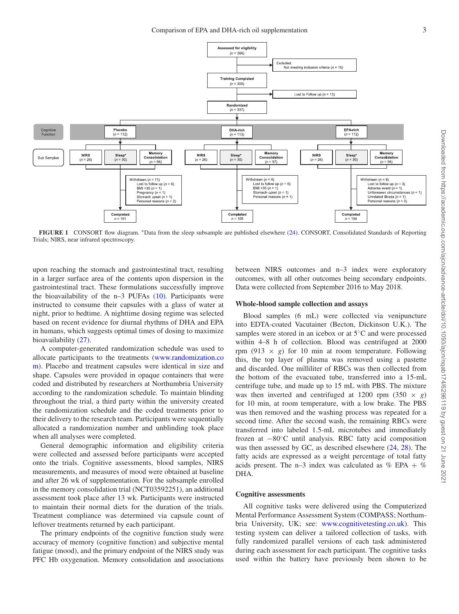<span id="page-2-0"></span>

**FIGURE 1** CONSORT flow diagram. ∗Data from the sleep subsample are published elsewhere [\(24\)](#page-9-19). CONSORT, Consolidated Standards of Reporting Trials; NIRS, near infrared spectroscopy.

upon reaching the stomach and gastrointestinal tract, resulting in a larger surface area of the contents upon dispersion in the gastrointestinal tract. These formulations successfully improve the bioavailability of the n–3 PUFAs [\(10\)](#page-9-8). Participants were instructed to consume their capsules with a glass of water at night, prior to bedtime. A nighttime dosing regime was selected based on recent evidence for diurnal rhythms of DHA and EPA in humans, which suggests optimal times of dosing to maximize bioavailability [\(27\)](#page-10-0).

A computer-generated randomization schedule was used to allocate participants to the treatments (www.randomization.co [m\). Placebo and treatment capsules were identical in size and](http://www.randomization.com) shape. Capsules were provided in opaque containers that were coded and distributed by researchers at Northumbria University according to the randomization schedule. To maintain blinding throughout the trial, a third party within the university created the randomization schedule and the coded treatments prior to their delivery to the research team. Participants were sequentially allocated a randomization number and unblinding took place when all analyses were completed.

General demographic information and eligibility criteria were collected and assessed before participants were accepted onto the trials. Cognitive assessments, blood samples, NIRS measurements, and measures of mood were obtained at baseline and after 26 wk of supplementation. For the subsample enrolled in the memory consolidation trial (NCT03592251), an additional assessment took place after 13 wk. Participants were instructed to maintain their normal diets for the duration of the trials. Treatment compliance was determined via capsule count of leftover treatments returned by each participant.

The primary endpoints of the cognitive function study were accuracy of memory (cognitive function) and subjective mental fatigue (mood), and the primary endpoint of the NIRS study was PFC Hb oxygenation. Memory consolidation and associations between NIRS outcomes and n–3 index were exploratory outcomes, with all other outcomes being secondary endpoints. Data were collected from September 2016 to May 2018.

#### **Whole-blood sample collection and assays**

Blood samples (6 mL) were collected via venipuncture into EDTA-coated Vacutainer (Becton, Dickinson U.K.). The samples were stored in an icebox or at 5◦C and were processed within 4–8 h of collection. Blood was centrifuged at 2000 rpm (913  $\times$  *g*) for 10 min at room temperature. Following this, the top layer of plasma was removed using a pastette and discarded. One milliliter of RBCs was then collected from the bottom of the evacuated tube, transferred into a 15-mL centrifuge tube, and made up to 15 mL with PBS. The mixture was then inverted and centrifuged at 1200 rpm  $(350 \times g)$ for 10 min, at room temperature, with a low brake. The PBS was then removed and the washing process was repeated for a second time. After the second wash, the remaining RBCs were transferred into labeled 1.5-mL microtubes and immediately frozen at −80◦C until analysis. RBC fatty acid composition was then assessed by GC, as described elsewhere [\(24,](#page-9-19) [28\)](#page-10-1). The fatty acids are expressed as a weight percentage of total fatty acids present. The n–3 index was calculated as  $\%$  EPA +  $\%$ DHA.

#### **Cognitive assessments**

All cognitive tasks were delivered using the Computerized Mental Performance Assessment System (COMPASS; Northumbria University, UK; see: [www.cognitivetesting.co.uk\)](http://www.cognitivetesting.co.uk). This testing system can deliver a tailored collection of tasks, with fully randomized parallel versions of each task administered during each assessment for each participant. The cognitive tasks used within the battery have previously been shown to be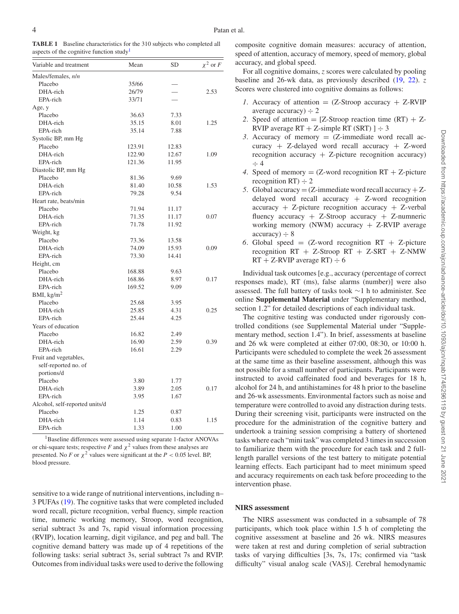<span id="page-3-0"></span>

| <b>TABLE 1</b> Baseline characteristics for the 310 subjects who completed all |  |
|--------------------------------------------------------------------------------|--|
| aspects of the cognitive function study <sup>1</sup>                           |  |

| Variable and treatment         | Mean   | SD    | $\chi^2$ or F |
|--------------------------------|--------|-------|---------------|
| Males/females, n/n             |        |       |               |
| Placebo                        | 35/66  |       |               |
| DHA-rich                       | 26/79  |       | 2.53          |
| EPA-rich                       | 33/71  |       |               |
| Age, y                         |        |       |               |
| Placebo                        | 36.63  | 7.33  |               |
| DHA-rich                       | 35.15  | 8.01  | 1.25          |
| EPA-rich                       | 35.14  | 7.88  |               |
| Systolic BP, mm Hg             |        |       |               |
| Placebo                        | 123.91 | 12.83 |               |
| DHA-rich                       | 122.90 | 12.67 | 1.09          |
| EPA-rich                       | 121.36 | 11.95 |               |
| Diastolic BP, mm Hg            |        |       |               |
| Placebo                        | 81.36  | 9.69  |               |
| DHA-rich                       | 81.40  | 10.58 | 1.53          |
| EPA-rich                       | 79.28  | 9.54  |               |
| Heart rate, beats/min          |        |       |               |
| Placebo                        | 71.94  | 11.17 |               |
| DHA-rich                       | 71.35  | 11.17 | 0.07          |
| EPA-rich                       | 71.78  | 11.92 |               |
| Weight, kg                     |        |       |               |
| Placebo                        | 73.36  | 13.58 |               |
| DHA-rich                       | 74.09  | 15.93 | 0.09          |
| EPA-rich                       | 73.30  | 14.41 |               |
| Height, cm                     |        |       |               |
| Placebo                        | 168.88 | 9.63  |               |
| DHA-rich                       | 168.86 | 8.97  | 0.17          |
| EPA-rich                       | 169.52 | 9.09  |               |
| BMI, $\text{kg/m}^2$           |        |       |               |
| Placebo                        | 25.68  | 3.95  |               |
| DHA-rich                       | 25.85  | 4.31  | 0.25          |
| EPA-rich                       | 25.44  | 4.25  |               |
| Years of education             |        |       |               |
| Placebo                        | 16.82  | 2.49  |               |
| DHA-rich                       | 16.90  | 2.59  | 0.39          |
| EPA-rich                       | 16.61  | 2.29  |               |
| Fruit and vegetables,          |        |       |               |
| self-reported no. of           |        |       |               |
| portions/d                     |        |       |               |
| Placebo                        | 3.80   | 1.77  |               |
| DHA-rich                       | 3.89   | 2.05  | 0.17          |
| EPA-rich                       | 3.95   | 1.67  |               |
| Alcohol, self-reported units/d |        |       |               |
| Placebo                        | 1.25   | 0.87  |               |
| DHA-rich                       | 1.14   | 0.83  | 1.15          |
| EPA-rich                       | 1.33   | 1.00  |               |

<span id="page-3-1"></span>1Baseline differences were assessed using separate 1-factor ANOVAs or chi-square tests; respective *F* and  $\chi^2$  values from these analyses are presented. No *F* or  $\chi^2$  values were significant at the *P* < 0.05 level. BP, blood pressure.

sensitive to a wide range of nutritional interventions, including n– 3 PUFAs [\(19\)](#page-9-17). The cognitive tasks that were completed included word recall, picture recognition, verbal fluency, simple reaction time, numeric working memory, Stroop, word recognition, serial subtract 3s and 7s, rapid visual information processing (RVIP), location learning, digit vigilance, and peg and ball. The cognitive demand battery was made up of 4 repetitions of the following tasks: serial subtract 3s, serial subtract 7s and RVIP. Outcomes from individual tasks were used to derive the following

composite cognitive domain measures: accuracy of attention, speed of attention, accuracy of memory, speed of memory, global accuracy, and global speed.

For all cognitive domains, *z* scores were calculated by pooling baseline and 26-wk data, as previously described [\(19,](#page-9-17) [22\)](#page-9-22). *z* Scores were clustered into cognitive domains as follows:

- *1*. Accuracy of attention  $= (Z-Stroop)$  accuracy  $+ Z-RVIP$ average accuracy)  $\div$  2
- 2. Speed of attention  $=$  [Z-Stroop reaction time (RT)  $+$  Z-RVIP average  $RT + Z$ -simple RT (SRT) ]  $\div$  3
- 3. Accuracy of memory  $= (Z$ -immediate word recall accuracy + Z-delayed word recall accuracy + Z-word recognition accuracy  $+$  Z-picture recognition accuracy) ÷ 4
- *4*. Speed of memory  $= (Z$ -word recognition  $RT + Z$ -picture recognition  $RT$ )  $\div$  2
- *5*. Global accuracy  $= (Z$ -immediate word recall accuracy  $+ Z$ delayed word recall accuracy  $+$  Z-word recognition  $accuracy + Z-picture recognition accuracy + Z-verbal$ fluency accuracy + Z-Stroop accuracy + Z-numneric working memory (NWM) accuracy  $+$  Z-RVIP average  $accuracy$   $\div$  8
- 6. Global speed  $=$  (Z-word recognition RT  $+$  Z-picture recognition  $RT$  + Z-Stroop  $RT$  + Z-SRT + Z-NMW  $RT + Z-RVIP$  average  $RT$ )  $\div$  6

Individual task outcomes [e.g., accuracy (percentage of correct responses made), RT (ms), false alarms (number)] were also assessed. The full battery of tasks took ∼1 h to administer. See online **Supplemental Material** under "Supplementary method, section 1.2" for detailed descriptions of each individual task.

The cognitive testing was conducted under rigorously controlled conditions (see Supplemental Material under "Supplementary method, section 1.4"). In brief, assessments at baseline and 26 wk were completed at either 07:00, 08:30, or 10:00 h. Participants were scheduled to complete the week 26 assessment at the same time as their baseline assessment, although this was not possible for a small number of participants. Participants were instructed to avoid caffeinated food and beverages for 18 h, alcohol for 24 h, and antihistamines for 48 h prior to the baseline and 26-wk assessments. Environmental factors such as noise and temperature were controlled to avoid any distraction during tests. During their screening visit, participants were instructed on the procedure for the administration of the cognitive battery and undertook a training session comprising a battery of shortened tasks where each "mini task" was completed 3 times in succession to familiarize them with the procedure for each task and 2 fulllength parallel versions of the test battery to mitigate potential learning effects. Each participant had to meet minimum speed and accuracy requirements on each task before proceeding to the intervention phase.

## **NIRS assessment**

The NIRS assessment was conducted in a subsample of 78 participants, which took place within 1.5 h of completing the cognitive assessment at baseline and 26 wk. NIRS measures were taken at rest and during completion of serial subtraction tasks of varying difficulties [3s, 7s, 17s; confirmed via "task difficulty" visual analog scale (VAS)]. Cerebral hemodynamic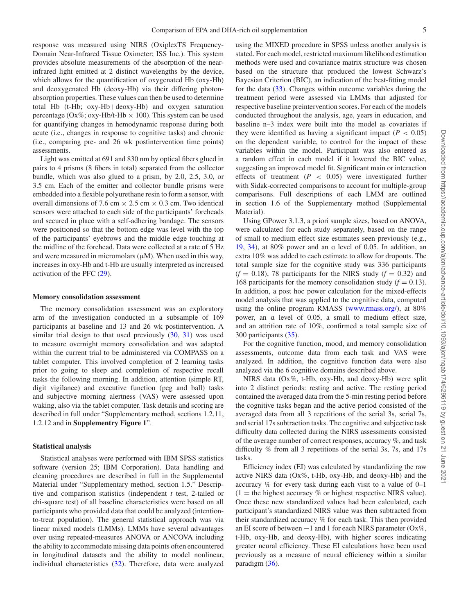response was measured using NIRS (OxiplexTS Frequency-Domain Near-Infrared Tissue Oximeter; ISS Inc.). This system provides absolute measurements of the absorption of the nearinfrared light emitted at 2 distinct wavelengths by the device, which allows for the quantification of oxygenated Hb (oxy-Hb) and deoxygenated Hb (deoxy-Hb) via their differing photonabsorption properties. These values can then be used to determine total Hb (t-Hb; oxy-Hb+deoxy-Hb) and oxygen saturation percentage (Ox%; oxy-Hb/t-Hb  $\times$  100). This system can be used for quantifying changes in hemodynamic response during both acute (i.e., changes in response to cognitive tasks) and chronic (i.e., comparing pre- and 26 wk postintervention time points) assessments.

Light was emitted at 691 and 830 nm by optical fibers glued in pairs to 4 prisms (8 fibers in total) separated from the collector bundle, which was also glued to a prism, by 2.0, 2.5, 3.0, or 3.5 cm. Each of the emitter and collector bundle prisms were embedded into a flexible polyurethane resin to form a sensor, with overall dimensions of 7.6 cm  $\times$  2.5 cm  $\times$  0.3 cm. Two identical sensors were attached to each side of the participants' foreheads and secured in place with a self-adhering bandage. The sensors were positioned so that the bottom edge was level with the top of the participants' eyebrows and the middle edge touching at the midline of the forehead. Data were collected at a rate of 5 Hz and were measured in micromolars  $(\mu M)$ . When used in this way, increases in oxy-Hb and t-Hb are usually interpreted as increased activation of the PFC [\(29\)](#page-10-2).

#### **Memory consolidation assessment**

The memory consolidation assessment was an exploratory arm of the investigation conducted in a subsample of 169 participants at baseline and 13 and 26 wk postintervention. A similar trial design to that used previously  $(30, 31)$  $(30, 31)$  $(30, 31)$  was used to measure overnight memory consolidation and was adapted within the current trial to be administered via COMPASS on a tablet computer. This involved completion of 2 learning tasks prior to going to sleep and completion of respective recall tasks the following morning. In addition, attention (simple RT, digit vigilance) and executive function (peg and ball) tasks and subjective morning alertness (VAS) were assessed upon waking, also via the tablet computer. Task details and scoring are described in full under "Supplementary method, sections 1.2.11, 1.2.12 and in **Supplementry Figure 1**".

#### **Statistical analysis**

Statistical analyses were performed with IBM SPSS statistics software (version 25; IBM Corporation). Data handling and cleaning procedures are described in full in the Supplemental Material under "Supplementary method, section 1.5." Descriptive and comparison statistics (independent *t* test, 2-tailed or chi-square test) of all baseline characteristics were based on all participants who provided data that could be analyzed (intentionto-treat population). The general statistical approach was via linear mixed models (LMMs). LMMs have several advantages over using repeated-measures ANOVA or ANCOVA including the ability to accommodate missing data points often encountered in longitudinal datasets and the ability to model nonlinear, individual characteristics [\(32\)](#page-10-5). Therefore, data were analyzed using the MIXED procedure in SPSS unless another analysis is stated. For each model, restricted maximum likelihood estimation methods were used and covariance matrix structure was chosen based on the structure that produced the lowest Schwarz's Bayesian Criterion (BIC), an indication of the best-fitting model for the data [\(33\)](#page-10-6). Changes within outcome variables during the treatment period were assessed via LMMs that adjusted for respective baseline preintervention scores. For each of the models conducted throughout the analysis, age, years in education, and baseline n–3 index were built into the model as covariates if they were identified as having a significant impact  $(P < 0.05)$ on the dependent variable, to control for the impact of these variables within the model. Participant was also entered as a random effect in each model if it lowered the BIC value, suggesting an improved model fit. Significant main or interaction effects of treatment  $(P < 0.05)$  were investigated further with Sidak-corrected comparisons to account for multiple-group comparisons. Full descriptions of each LMM are outlined in section 1.6 of the Supplementary method (Supplemental Material).

Using GPower 3.1.3, a priori sample sizes, based on ANOVA, were calculated for each study separately, based on the range of small to medium effect size estimates seen previously (e.g., [19,](#page-9-17) [34\)](#page-10-7), at 80% power and an ɑ level of 0.05. In addition, an extra 10% was added to each estimate to allow for dropouts. The total sample size for the cognitive study was 336 participants  $(f = 0.18)$ , 78 participants for the NIRS study  $(f = 0.32)$  and 168 participants for the memory consolidation study  $(f = 0.13)$ . In addition, a post hoc power calculation for the mixed-effects model analysis that was applied to the cognitive data, computed using the online program RMASS [\(www.rmass.org/\)](http://www.rmass.org/), at 80% power, an ɑ level of 0.05, a small to medium effect size, and an attrition rate of 10%, confirmed a total sample size of 300 participants [\(35\)](#page-10-8).

For the cognitive function, mood, and memory consolidation assessments, outcome data from each task and VAS were analyzed. In addition, the cognitive function data were also analyzed via the 6 cognitive domains described above.

NIRS data (Ox%, t-Hb, oxy-Hb, and deoxy-Hb) were split into 2 distinct periods: resting and active. The resting period contained the averaged data from the 5-min resting period before the cognitive tasks began and the active period consisted of the averaged data from all 3 repetitions of the serial 3s, serial 7s, and serial 17s subtraction tasks. The cognitive and subjective task difficulty data collected during the NIRS assessments consisted of the average number of correct responses, accuracy %, and task difficulty % from all 3 repetitions of the serial 3s, 7s, and 17s tasks.

Efficiency index (EI) was calculated by standardizing the raw active NIRS data (Ox%, t-Hb, oxy-Hb, and deoxy-Hb) and the accuracy % for every task during each visit to a value of 0–1  $(1 =$  the highest accuracy % or highest respective NIRS value). Once these new standardized values had been calculated, each participant's standardized NIRS value was then subtracted from their standardized accuracy % for each task. This then provided an EI score of between  $-1$  and 1 for each NIRS parameter (Ox%, t-Hb, oxy-Hb, and deoxy-Hb), with higher scores indicating greater neural efficiency. These EI calculations have been used previously as a measure of neural efficiency within a similar paradigm [\(36\)](#page-10-9).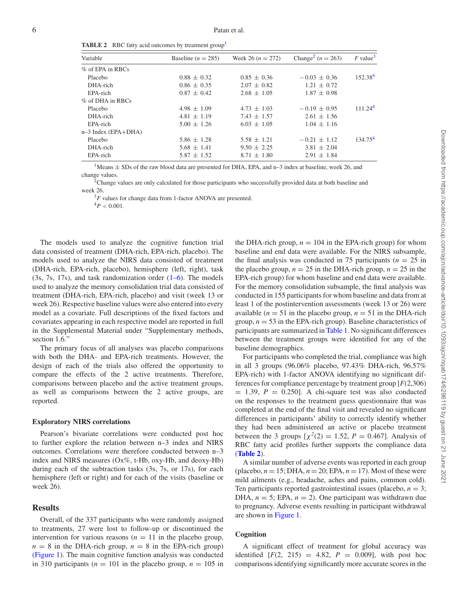<span id="page-5-4"></span>**TABLE 2** RBC fatty acid outcomes by treatment group<sup>[1](#page-5-0)</sup>

| Variable            | Baseline ( $n = 285$ ) | Week 26 $(n = 272)$ | Change <sup>2</sup> ( $n = 263$ ) | $F$ value <sup>3</sup> |
|---------------------|------------------------|---------------------|-----------------------------------|------------------------|
| % of EPA in RBCs    |                        |                     |                                   |                        |
| Placebo             | $0.88 \pm 0.32$        | $0.85 \pm 0.36$     | $-0.03 + 0.36$                    | 152.38 <sup>4</sup>    |
| DHA-rich            | $0.86 \pm 0.35$        | $2.07 \pm 0.82$     | $1.21 \pm 0.72$                   |                        |
| EPA-rich            | $0.87 \pm 0.42$        | $2.68 \pm 1.05$     | $1.87 \pm 0.98$                   |                        |
| % of DHA in RBCs    |                        |                     |                                   |                        |
| Placebo             | $4.98 \pm 1.09$        | $4.73 \pm 1.03$     | $-0.19 \pm 0.95$                  | 111.24 <sup>4</sup>    |
| DHA-rich            | $4.81 \pm 1.19$        | $7.43 \pm 1.57$     | $2.61 \pm 1.56$                   |                        |
| EPA-rich            | $5.00 \pm 1.26$        | $6.03 \pm 1.05$     | $1.04 \pm 1.16$                   |                        |
| n-3 Index (EPA+DHA) |                        |                     |                                   |                        |
| Placebo             | $5.86 \pm 1.28$        | $5.58 \pm 1.21$     | $-0.21 + 1.12$                    | 134.75 <sup>4</sup>    |
| DHA-rich            | $5.68 \pm 1.41$        | $9.50 \pm 2.25$     | $3.81 \pm 2.04$                   |                        |
| EPA-rich            | $5.87 \pm 1.52$        | $8.71 \pm 1.80$     | $2.91 \pm 1.84$                   |                        |

<span id="page-5-0"></span><sup>1</sup>Means  $\pm$  SDs of the raw blood data are presented for DHA, EPA, and n–3 index at baseline, week 26, and change values.

<span id="page-5-1"></span><sup>2</sup>Change values are only calculated for those participants who successfully provided data at both baseline and week 26.

<sup>3</sup>F values for change data from 1-factor ANOVA are presented.

 $^{4}P < 0.001$ .

<span id="page-5-3"></span><span id="page-5-2"></span>The models used to analyze the cognitive function trial data consisted of treatment (DHA-rich, EPA-rich, placebo). The models used to analyze the NIRS data consisted of treatment (DHA-rich, EPA-rich, placebo), hemisphere (left, right), task (3s, 7s, 17s), and task randomization order [\(1–6\)](#page-9-0). The models used to analyze the memory consolidation trial data consisted of treatment (DHA-rich, EPA-rich, placebo) and visit (week 13 or week 26). Respective baseline values were also entered into every model as a covariate. Full descriptions of the fixed factors and covariates appearing in each respective model are reported in full in the Supplemental Material under "Supplementary methods, section 1.6."

The primary focus of all analyses was placebo comparisons with both the DHA- and EPA-rich treatments. However, the design of each of the trials also offered the opportunity to compare the effects of the 2 active treatments. Therefore, comparisons between placebo and the active treatment groups, as well as comparisons between the 2 active groups, are reported.

## **Exploratory NIRS correlations**

Pearson's bivariate correlations were conducted post hoc to further explore the relation between n–3 index and NIRS outcomes. Correlations were therefore conducted between n–3 index and NIRS measures (Ox%, t-Hb, oxy-Hb, and deoxy-Hb) during each of the subtraction tasks (3s, 7s, or 17s), for each hemisphere (left or right) and for each of the visits (baseline or week 26).

# **Results**

Overall, of the 337 participants who were randomly assigned to treatments, 27 were lost to follow-up or discontinued the intervention for various reasons  $(n = 11)$  in the placebo group,  $n = 8$  in the DHA-rich group,  $n = 8$  in the EPA-rich group) [\(Figure 1\)](#page-2-0). The main cognitive function analysis was conducted in 310 participants ( $n = 101$  in the placebo group,  $n = 105$  in the DHA-rich group,  $n = 104$  in the EPA-rich group) for whom baseline and end data were available. For the NIRS subsample, the final analysis was conducted in 75 participants  $(n = 25$  in the placebo group,  $n = 25$  in the DHA-rich group,  $n = 25$  in the EPA-rich group) for whom baseline and end data were available. For the memory consolidation subsample, the final analysis was conducted in 155 participants for whom baseline and data from at least 1 of the postintervention assessments (week 13 or 26) were available  $(n = 51$  in the placebo group,  $n = 51$  in the DHA-rich group,  $n = 53$  in the EPA-rich group). Baseline characteristics of participants are summarized in [Table 1.](#page-3-0) No significant differences between the treatment groups were identified for any of the baseline demographics.

For participants who completed the trial, compliance was high in all 3 groups (96.06% placebo, 97.43% DHA-rich, 96.57% EPA-rich) with 1-factor ANOVA identifying no significant differences for compliance percentage by treatment group [*F*(2,306)  $= 1.39$ ,  $P = 0.250$ . A chi-square test was also conducted on the responses to the treatment guess questionnaire that was completed at the end of the final visit and revealed no significant differences in participants' ability to correctly identify whether they had been administered an active or placebo treatment between the 3 groups  $[\chi^2(2) = 1.52, P = 0.467]$ . Analysis of RBC fatty acid profiles further supports the compliance data (**[Table 2](#page-5-4)**).

A similar number of adverse events was reported in each group (placebo,  $n = 15$ ; DHA,  $n = 20$ ; EPA,  $n = 17$ ). Most of these were mild ailments (e.g., headache, aches and pains, common cold). Ten participants reported gastrointestinal issues (placebo,  $n = 3$ ; DHA,  $n = 5$ ; EPA,  $n = 2$ ). One participant was withdrawn due to pregnancy. Adverse events resulting in participant withdrawal are shown in [Figure 1.](#page-2-0)

# **Cognition**

A significant effect of treatment for global accuracy was identified  $[F(2, 215) = 4.82, P = 0.009]$ , with post hoc comparisons identifying significantly more accurate scores in the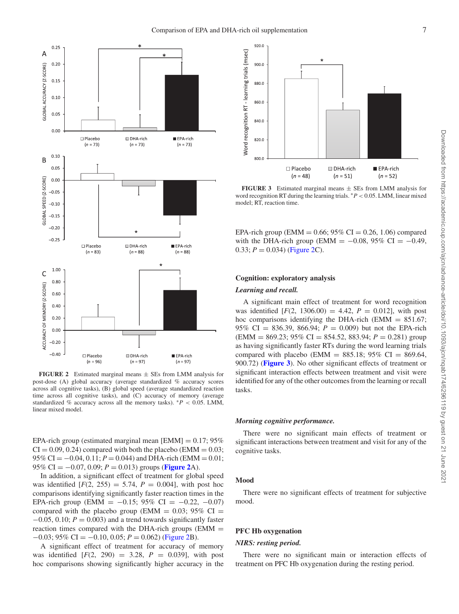<span id="page-6-0"></span>

**FIGURE 2** Estimated marginal means ± SEs from LMM analysis for post-dose (A) global accuracy (average standardized % accuracy scores across all cognitive tasks), (B) global speed (average standardized reaction time across all cognitive tasks), and (C) accuracy of memory (average standardized % accuracy across all the memory tasks).  $*P < 0.05$ . LMM, linear mixed model.

EPA-rich group (estimated marginal mean  $[EMM] = 0.17; 95\%$  $CI = 0.09, 0.24$ ) compared with both the placebo (EMM = 0.03;  $95\%$  CI =  $-0.04$ ,  $0.11$ ;  $P = 0.044$ ) and DHA-rich (EMM = 0.01; 95% CI =  $-0.07$ , 0.09;  $P = 0.013$ ) groups (**[Figure 2](#page-6-0)**A).

In addition, a significant effect of treatment for global speed was identified  $[F(2, 255) = 5.74, P = 0.004]$ , with post hoc comparisons identifying significantly faster reaction times in the EPA-rich group (EMM =  $-0.15$ ; 95% CI =  $-0.22$ ,  $-0.07$ ) compared with the placebo group (EMM =  $0.03$ ; 95% CI =  $-0.05$ , 0.10;  $P = 0.003$ ) and a trend towards significantly faster reaction times compared with the DHA-rich groups (EMM = −0.03; 95% CI = −0.10, 0.05; *P* = 0.062) [\(Figure 2B](#page-6-0)).

A significant effect of treatment for accuracy of memory was identified [*F*(2, 290) = 3.28, *P* = 0.039], with post hoc comparisons showing significantly higher accuracy in the

<span id="page-6-1"></span>

**FIGURE 3** Estimated marginal means  $\pm$  SEs from LMM analysis for word recognition RT during the learning trials. ∗*P* < 0.05. LMM, linear mixed model; RT, reaction time.

EPA-rich group (EMM =  $0.66$ ; 95% CI = 0.26, 1.06) compared with the DHA-rich group (EMM =  $-0.08$ , 95% CI =  $-0.49$ ,  $0.33; P = 0.034$ ) [\(Figure 2C](#page-6-0)).

## **Cognition: exploratory analysis**

#### *Learning and recall.*

A significant main effect of treatment for word recognition was identified  $[F(2, 1306.00) = 4.42, P = 0.012]$ , with post hoc comparisons identifying the DHA-rich (EMM  $= 851.67$ ; 95% CI = 836.39, 866.94;  $P = 0.009$ ) but not the EPA-rich (EMM = 869.23; 95% CI = 854.52, 883.94; *P* = 0.281) group as having significantly faster RTs during the word learning trials compared with placebo (EMM = 885.18; 95% CI = 869.64, 900.72) (**[Figure 3](#page-6-1)**). No other significant effects of treatment or significant interaction effects between treatment and visit were identified for any of the other outcomes from the learning or recall tasks.

#### *Morning cognitive performance.*

There were no significant main effects of treatment or significant interactions between treatment and visit for any of the cognitive tasks.

#### **Mood**

There were no significant effects of treatment for subjective mood.

## **PFC Hb oxygenation**

## *NIRS: resting period.*

There were no significant main or interaction effects of treatment on PFC Hb oxygenation during the resting period.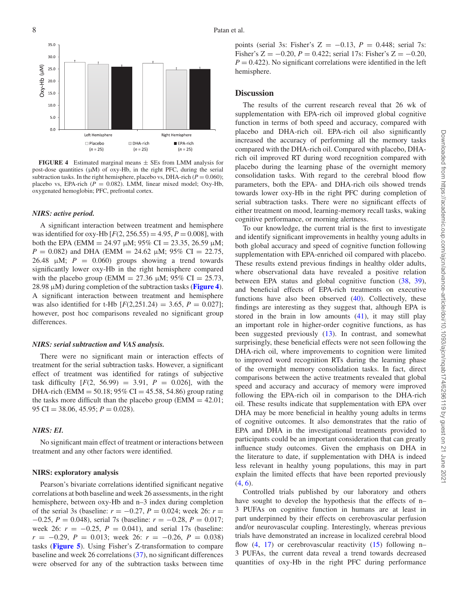<span id="page-7-0"></span>

**FIGURE 4** Estimated marginal means  $\pm$  SEs from LMM analysis for post-dose quantities (μM) of oxy-Hb, in the right PFC, during the serial subtraction tasks. In the right hemisphere, placebo vs, DHA-rich ( $P = 0.060$ ); placebo vs, EPA-rich ( $P = 0.082$ ). LMM, linear mixed model; Oxy-Hb, oxygenated hemoglobin; PFC, prefrontal cortex.

#### *NIRS: active period.*

A significant interaction between treatment and hemisphere was identified for oxy-Hb  $[F(2, 256.55) = 4.95, P = 0.008]$ , with both the EPA (EMM = 24.97  $\mu$ M; 95% CI = 23.35, 26.59  $\mu$ M; *P* = 0.082) and DHA (EMM = 24.62  $\mu$ M; 95% CI = 22.75, 26.48  $\mu$ M;  $P = 0.060$ ) groups showing a trend towards significantly lower oxy-Hb in the right hemisphere compared with the placebo group (EMM = 27.36  $\mu$ M; 95% CI = 25.73, 28.98 μM) during completion of the subtraction tasks (**[Figure 4](#page-7-0)**). A significant interaction between treatment and hemisphere was also identified for t-Hb  $[F(2,251.24) = 3.65, P = 0.027]$ ; however, post hoc comparisons revealed no significant group differences.

#### *NIRS: serial subtraction and VAS analysis.*

There were no significant main or interaction effects of treatment for the serial subtraction tasks. However, a significant effect of treatment was identified for ratings of subjective task difficulty  $[F(2, 56.99) = 3.91, P = 0.026]$ , with the DHA-rich (EMM = 50.18; 95% CI = 45.58, 54.86) group rating the tasks more difficult than the placebo group ( $EMM = 42.01$ ; 95 CI = 38.06, 45.95; *P* = 0.028).

## *NIRS: EI.*

No significant main effect of treatment or interactions between treatment and any other factors were identified.

# **NIRS: exploratory analysis**

Pearson's bivariate correlations identified significant negative correlations at both baseline and week 26 assessments, in the right hemisphere, between oxy-Hb and n–3 index during completion of the serial 3s (baseline:  $r = -0.27$ ,  $P = 0.024$ ; week 26:  $r =$ −0.25, *P* = 0.048), serial 7s (baseline: *r* = −0.28, *P* = 0.017; week 26:  $r = -0.25$ ,  $P = 0.041$ ), and serial 17s (baseline: *r* = −0.29, *P* = 0.013; week 26: *r* = −0.26, *P* = 0.038) tasks (**[Figure 5](#page-8-0)**). Using Fisher's Z-transformation to compare baseline and week 26 correlations [\(37\)](#page-10-10), no significant differences were observed for any of the subtraction tasks between time

points (serial 3s: Fisher's  $Z = -0.13$ ,  $P = 0.448$ ; serial 7s: Fisher's Z =  $-0.20$ ,  $P = 0.422$ ; serial 17s: Fisher's Z =  $-0.20$ ,  $P = 0.422$ ). No significant correlations were identified in the left hemisphere.

## **Discussion**

The results of the current research reveal that 26 wk of supplementation with EPA-rich oil improved global cognitive function in terms of both speed and accuracy, compared with placebo and DHA-rich oil. EPA-rich oil also significantly increased the accuracy of performing all the memory tasks compared with the DHA-rich oil. Compared with placebo, DHArich oil improved RT during word recognition compared with placebo during the learning phase of the overnight memory consolidation tasks. With regard to the cerebral blood flow parameters, both the EPA- and DHA-rich oils showed trends towards lower oxy-Hb in the right PFC during completion of serial subtraction tasks. There were no significant effects of either treatment on mood, learning-memory recall tasks, waking cognitive performance, or morning alertness.

To our knowledge, the current trial is the first to investigate and identify significant improvements in healthy young adults in both global accuracy and speed of cognitive function following supplementation with EPA-enriched oil compared with placebo. These results extend previous findings in healthy older adults, where observational data have revealed a positive relation between EPA status and global cognitive function [\(38,](#page-10-11) [39\)](#page-10-12), and beneficial effects of EPA-rich treatments on executive functions have also been observed  $(40)$ . Collectively, these findings are interesting as they suggest that, although EPA is stored in the brain in low amounts  $(41)$ , it may still play an important role in higher-order cognitive functions, as has been suggested previously [\(13\)](#page-9-11). In contrast, and somewhat surprisingly, these beneficial effects were not seen following the DHA-rich oil, where improvements to cognition were limited to improved word recognition RTs during the learning phase of the overnight memory consolidation tasks. In fact, direct comparisons between the active treatments revealed that global speed and accuracy and accuracy of memory were improved following the EPA-rich oil in comparison to the DHA-rich oil. These results indicate that supplementation with EPA over DHA may be more beneficial in healthy young adults in terms of cognitive outcomes. It also demonstrates that the ratio of EPA and DHA in the investigational treatments provided to participants could be an important consideration that can greatly influence study outcomes. Given the emphasis on DHA in the literature to date, if supplementation with DHA is indeed less relevant in healthy young populations, this may in part explain the limited effects that have been reported previously  $(4, 6)$  $(4, 6)$  $(4, 6)$ .

Controlled trials published by our laboratory and others have sought to develop the hypothesis that the effects of n– 3 PUFAs on cognitive function in humans are at least in part underpinned by their effects on cerebrovascular perfusion and/or neurovascular coupling. Interestingly, whereas previous trials have demonstrated an increase in localized cerebral blood flow  $(4, 17)$  $(4, 17)$  $(4, 17)$  or cerebrovascular reactivity  $(15)$  following n-3 PUFAs, the current data reveal a trend towards decreased quantities of oxy-Hb in the right PFC during performance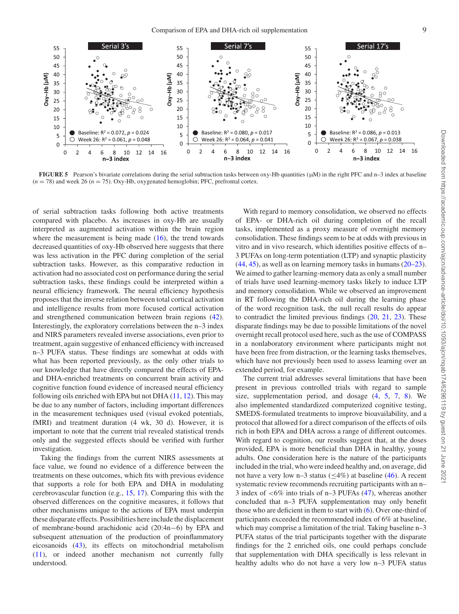<span id="page-8-0"></span>

**FIGURE 5** Pearson's bivariate correlations during the serial subtraction tasks between oxy-Hb quantities (μM) in the right PFC and n–3 index at baseline  $(n = 78)$  and week 26  $(n = 75)$ . Oxy-Hb, oxygenated hemoglobin; PFC, prefrontal cortex.

of serial subtraction tasks following both active treatments compared with placebo. As increases in oxy-Hb are usually interpreted as augmented activation within the brain region where the measurement is being made  $(16)$ , the trend towards decreased quantities of oxy-Hb observed here suggests that there was less activation in the PFC during completion of the serial subtraction tasks. However, as this comparative reduction in activation had no associated cost on performance during the serial subtraction tasks, these findings could be interpreted within a neural efficiency framework. The neural efficiency hypothesis proposes that the inverse relation between total cortical activation and intelligence results from more focused cortical activation and strengthened communication between brain regions [\(42\)](#page-10-15). Interestingly, the exploratory correlations between the n–3 index and NIRS parameters revealed inverse associations, even prior to treatment, again suggestive of enhanced efficiency with increased n–3 PUFA status. These findings are somewhat at odds with what has been reported previously, as the only other trials to our knowledge that have directly compared the effects of EPAand DHA-enriched treatments on concurrent brain activity and cognitive function found evidence of increased neural efficiency following oils enriched with EPA but not DHA  $(11, 12)$  $(11, 12)$  $(11, 12)$ . This may be due to any number of factors, including important differences in the measurement techniques used (visual evoked potentials, fMRI) and treatment duration (4 wk, 30 d). However, it is important to note that the current trial revealed statistical trends only and the suggested effects should be verified with further investigation.

Taking the findings from the current NIRS assessments at face value, we found no evidence of a difference between the treatments on these outcomes, which fits with previous evidence that supports a role for both EPA and DHA in modulating cerebrovascular function (e.g., [15,](#page-9-9) [17\)](#page-9-10). Comparing this with the observed differences on the cognitive measures, it follows that other mechanisms unique to the actions of EPA must underpin these disparate effects. Possibilities here include the displacement of membrane-bound arachidonic acid (20:4n−6) by EPA and subsequent attenuation of the production of proinflammatory eicosanoids [\(43\)](#page-10-16), its effects on mitochondrial metabolism [\(11\)](#page-9-9), or indeed another mechanism not currently fully understood.

With regard to memory consolidation, we observed no effects of EPA- or DHA-rich oil during completion of the recall tasks, implemented as a proxy measure of overnight memory consolidation. These findings seem to be at odds with previous in vitro and in vivo research, which identifies positive effects of n– 3 PUFAs on long-term potentiation (LTP) and synaptic plasticity [\(44,](#page-10-17) [45\)](#page-10-18), as well as on learning memory tasks in humans [\(20–23\)](#page-9-18). We aimed to gather learning-memory data as only a small number of trials have used learning-memory tasks likely to induce LTP and memory consolidation. While we observed an improvement in RT following the DHA-rich oil during the learning phase of the word recognition task, the null recall results do appear to contradict the limited previous findings [\(20,](#page-9-18) [21,](#page-9-24) [23\)](#page-9-25). These disparate findings may be due to possible limitations of the novel overnight recall protocol used here, such as the use of COMPASS in a nonlaboratory environment where participants might not have been free from distraction, or the learning tasks themselves, which have not previously been used to assess learning over an extended period, for example.

The current trial addresses several limitations that have been present in previous controlled trials with regard to sample size, supplementation period, and dosage [\(4,](#page-9-3) [5,](#page-9-4) [7,](#page-9-5) [8\)](#page-9-6). We also implemented standardized computerized cognitive testing, SMEDS-formulated treatments to improve bioavailability, and a protocol that allowed for a direct comparison of the effects of oils rich in both EPA and DHA across a range of different outcomes. With regard to cognition, our results suggest that, at the doses provided, EPA is more beneficial than DHA in healthy, young adults. One consideration here is the nature of the participants included in the trial, who were indeed healthy and, on average, did not have a very low n–3 status ( $\leq$ 4%) at baseline [\(46\)](#page-10-19). A recent systematic review recommends recruiting participants with an n– 3 index of <6% into trials of n–3 PUFAs [\(47\)](#page-10-20), whereas another concluded that n–3 PUFA supplementation may only benefit those who are deficient in them to start with [\(6\)](#page-9-23). Over one-third of participants exceeded the recommended index of 6% at baseline, which may comprise a limitation of the trial. Taking baseline n–3 PUFA status of the trial participants together with the disparate findings for the 2 enriched oils, one could perhaps conclude that supplementation with DHA specifically is less relevant in healthy adults who do not have a very low n–3 PUFA status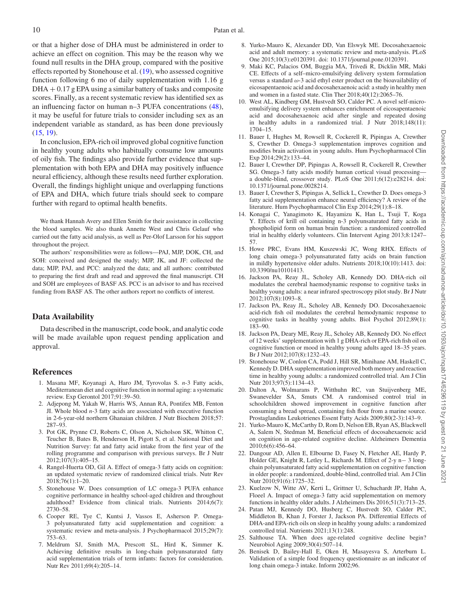or that a higher dose of DHA must be administered in order to achieve an effect on cognition. This may be the reason why we found null results in the DHA group, compared with the positive effects reported by Stonehouse et al. [\(19\)](#page-9-17), who assessed cognitive function following 6 mo of daily supplementation with 1.16 g  $DHA + 0.17$  g EPA using a similar battery of tasks and composite scores. Finally, as a recent systematic review has identified sex as an influencing factor on human n–3 PUFA concentrations [\(48\)](#page-10-21), it may be useful for future trials to consider including sex as an independent variable as standard, as has been done previously [\(15,](#page-9-13) [19\)](#page-9-17).

In conclusion, EPA-rich oil improved global cognitive function in healthy young adults who habitually consume low amounts of oily fish. The findings also provide further evidence that supplementation with both EPA and DHA may positively influence neural efficiency, although these results need further exploration. Overall, the findings highlight unique and overlapping functions of EPA and DHA, which future trials should seek to compare further with regard to optimal health benefits.

We thank Hannah Avery and Ellen Smith for their assistance in collecting the blood samples. We also thank Annette West and Chris Gelauf who carried out the fatty acid analysis, as well as Per-Olof Larsson for his support throughout the project.

The authors' responsibilities were as follows—PAJ, MJP, DOK, CH, and SOH: conceived and designed the study; MJP, JK, and JF: collected the data; MJP, PAJ, and PCC: analyzed the data; and all authors: contributed to preparing the first draft and read and approved the final manuscript. CH and SOH are employees of BASF AS. PCC is an advisor to and has received funding from BASF AS. The other authors report no conflicts of interest.

# **Data Availability**

Data described in the manuscript, code book, and analytic code will be made available upon request pending application and approval.

## **References**

- <span id="page-9-0"></span>1. Masana MF, Koyanagi A, Haro JM, Tyrovolas S. *n*-3 Fatty acids, Mediterranean diet and cognitive function in normal aging: a systematic review. Exp Gerontol 2017;91:39–50.
- <span id="page-9-1"></span>2. Adjepong M, Yakah W, Harris WS, Annan RA, Pontifex MB, Fenton JI. Whole blood *n*-3 fatty acids are associated with executive function in 2-6-year-old northern Ghanaian children. J Nutr Biochem 2018;57: 287–93.
- <span id="page-9-2"></span>3. Pot GK, Prynne CJ, Roberts C, Olson A, Nicholson SK, Whitton C, Teucher B, Bates B, Henderson H, Pigott S, et al. National Diet and Nutrition Survey: fat and fatty acid intake from the first year of the rolling programme and comparison with previous surveys. Br J Nutr 2012;107(3):405–15.
- <span id="page-9-3"></span>4. Rangel-Huerta OD, Gil A. Effect of omega-3 fatty acids on cognition: an updated systematic review of randomized clinical trials. Nutr Rev 2018;76(1):1–20.
- <span id="page-9-4"></span>5. Stonehouse W. Does consumption of LC omega-3 PUFA enhance cognitive performance in healthy school-aged children and throughout adulthood? Evidence from clinical trials. Nutrients 2014;6(7): 2730–58.
- <span id="page-9-23"></span>6. Cooper RE, Tye C, Kuntsi J, Vassos E, Asherson P. Omega-3 polyunsaturated fatty acid supplementation and cognition: a systematic review and meta-analysis. J Psychopharmacol 2015;29(7): 753–63.
- <span id="page-9-5"></span>7. Meldrum SJ, Smith MA, Prescott SL, Hird K, Simmer K. Achieving definitive results in long-chain polyunsaturated fatty acid supplementation trials of term infants: factors for consideration. Nutr Rev 2011;69(4):205–14.
- <span id="page-9-6"></span>8. Yurko-Mauro K, Alexander DD, Van Elswyk ME. Docosahexaenoic acid and adult memory: a systematic review and meta-analysis. PLoS One 2015;10(3):e0120391. doi: 10.1371/journal.pone.0120391.
- <span id="page-9-7"></span>9. Maki KC, Palacios OM, Buggia MA, Trivedi R, Dicklin MR, Maki CE. Effects of a self–micro-emulsifying delivery system formulation versus a standard  $\omega$ -3 acid ethyl ester product on the bioavailability of eicosapentaenoic acid and docosahexaenoic acid: a study in healthy men and women in a fasted state. Clin Ther 2018;40(12):2065–76.
- <span id="page-9-8"></span>10. West AL, Kindberg GM, Hustvedt SO, Calder PC. A novel self-microemulsifying delivery system enhances enrichment of eicosapentaenoic acid and docosahexaenoic acid after single and repeated dosing in healthy adults in a randomized trial. J Nutr 2018;148(11): 1704–15.
- <span id="page-9-9"></span>11. Bauer I, Hughes M, Rowsell R, Cockerell R, Pipingas A, Crewther S, Crewther D. Omega-3 supplementation improves cognition and modifies brain activation in young adults. Hum Psychopharmacol Clin Exp 2014;29(2):133–44.
- <span id="page-9-10"></span>12. Bauer I, Crewther DP, Pipingas A, Rowsell R, Cockerell R, Crewther SG. Omega-3 fatty acids modify human cortical visual processing a double-blind, crossover study. PLoS One 2011;6(12):e28214. doi: 10.1371/journal.pone.0028214.
- <span id="page-9-11"></span>13. Bauer I, Crewther S, Pipingas A, Sellick L, Crewther D. Does omega-3 fatty acid supplementation enhance neural efficiency? A review of the literature. Hum Psychopharmacol Clin Exp 2014;29(1):8–18.
- <span id="page-9-12"></span>14. Konagai C, Yanagimoto K, Hayamizu K, Han L, Tsuji T, Koga Y. Effects of krill oil containing n-3 polyunsaturated fatty acids in phospholipid form on human brain function: a randomized controlled trial in healthy elderly volunteers. Clin Intervent Aging 2013;8:1247– 57.
- <span id="page-9-13"></span>15. Howe PRC, Evans HM, Kuszewski JC, Wong RHX. Effects of long chain omega-3 polyunsaturated fatty acids on brain function in mildly hypertensive older adults. Nutrients 2018;10(10):1413. doi: 10.3390/nu10101413.
- <span id="page-9-14"></span>16. Jackson PA, Reay JL, Scholey AB, Kennedy DO. DHA-rich oil modulates the cerebral haemodynamic response to cognitive tasks in healthy young adults: a near infrared spectroscopy pilot study. Br J Nutr 2012;107(8):1093–8.
- <span id="page-9-15"></span>17. Jackson PA, Reay JL, Scholey AB, Kennedy DO. Docosahexaenoic acid-rich fish oil modulates the cerebral hemodynamic response to cognitive tasks in healthy young adults. Biol Psychol 2012;89(1): 183–90.
- <span id="page-9-16"></span>18. Jackson PA, Deary ME, Reay JL, Scholey AB, Kennedy DO. No effect of 12 weeks' supplementation with 1 g DHA-rich or EPA-rich fish oil on cognitive function or mood in healthy young adults aged 18–35 years. Br J Nutr 2012;107(8):1232–43.
- <span id="page-9-17"></span>19. Stonehouse W, Conlon CA, Podd J, Hill SR, Minihane AM, Haskell C, Kennedy D. DHA supplementation improved both memory and reaction time in healthy young adults: a randomized controlled trial. Am J Clin Nutr 2013;97(5):1134–43.
- <span id="page-9-18"></span>20. Dalton A, Wolmarans P, Witthuhn RC, van Stuijvenberg ME, Swanevelder SA, Smuts CM. A randomised control trial in schoolchildren showed improvement in cognitive function after consuming a bread spread, containing fish flour from a marine source. Prostaglandins Leukotrienes Essent Fatty Acids 2009;80(2-3):143–9.
- <span id="page-9-24"></span>21. Yurko-Mauro K, McCarthy D, Rom D, Nelson EB, Ryan AS, Blackwell A, Salem N, Stedman M, Beneficial effects of docosahexaenoic acid on cognition in age-related cognitive decline. Alzheimers Dementia 2010;6(6):456–64.
- <span id="page-9-22"></span>22. Dangour AD, Allen E, Elbourne D, Fasey N, Fletcher AE, Hardy P, Holder GE, Knight R, Letley L, Richards M. Effect of 2-y n− 3 longchain polyunsaturated fatty acid supplementation on cognitive function in older people: a randomized, double-blind, controlled trial. Am J Clin Nutr 2010;91(6):1725–32.
- <span id="page-9-25"></span>23. Kuelzow N, Witte AV, Kerti L, Grittner U, Schuchardt JP, Hahn A, Floeel A. Impact of omega-3 fatty acid supplementation on memory functions in healthy older adults. J Alzheimers Dis 2016;51(3):713–25.
- <span id="page-9-19"></span>24. Patan MJ, Kennedy DO, Husberg C, Hustvedt SO, Calder PC, Middleton B, Khan J, Forster J, Jackson PA. Differential Effects of DHA-and EPA-rich oils on sleep in healthy young adults: a randomized controlled trial. Nutrients 2021;13(1):248.
- <span id="page-9-20"></span>25. Salthouse TA. When does age-related cognitive decline begin? Neurobiol Aging 2009;30(4):507–14.
- <span id="page-9-21"></span>26. Benisek D, Bailey-Hall E, Oken H, Masayesva S, Arterburn L. Validation of a simple food frequency questionnaire as an indicator of long chain omega-3 intake. Inform 2002;96.